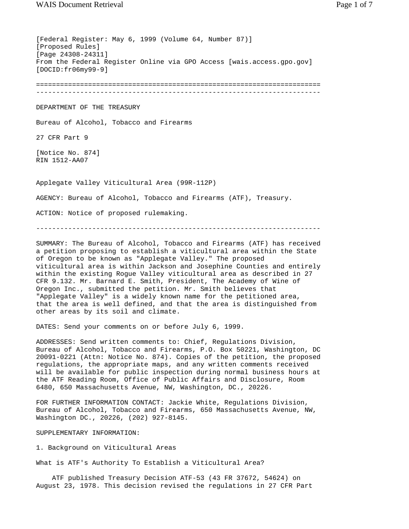[Federal Register: May 6, 1999 (Volume 64, Number 87)] [Proposed Rules] [Page 24308-24311] From the Federal Register Online via GPO Access [wais.access.gpo.gov] [DOCID:fr06my99-9] ======================================================================= ----------------------------------------------------------------------- DEPARTMENT OF THE TREASURY Bureau of Alcohol, Tobacco and Firearms 27 CFR Part 9 [Notice No. 874] RIN 1512-AA07 Applegate Valley Viticultural Area (99R-112P) AGENCY: Bureau of Alcohol, Tobacco and Firearms (ATF), Treasury. ACTION: Notice of proposed rulemaking. -----------------------------------------------------------------------

SUMMARY: The Bureau of Alcohol, Tobacco and Firearms (ATF) has received a petition proposing to establish a viticultural area within the State of Oregon to be known as "Applegate Valley." The proposed viticultural area is within Jackson and Josephine Counties and entirely within the existing Rogue Valley viticultural area as described in 27 CFR 9.132. Mr. Barnard E. Smith, President, The Academy of Wine of Oregon Inc., submitted the petition. Mr. Smith believes that "Applegate Valley" is a widely known name for the petitioned area, that the area is well defined, and that the area is distinguished from other areas by its soil and climate.

DATES: Send your comments on or before July 6, 1999.

ADDRESSES: Send written comments to: Chief, Regulations Division, Bureau of Alcohol, Tobacco and Firearms, P.O. Box 50221, Washington, DC 20091-0221 (Attn: Notice No. 874). Copies of the petition, the proposed regulations, the appropriate maps, and any written comments received will be available for public inspection during normal business hours at the ATF Reading Room, Office of Public Affairs and Disclosure, Room 6480, 650 Massachusetts Avenue, NW, Washington, DC., 20226.

FOR FURTHER INFORMATION CONTACT: Jackie White, Regulations Division, Bureau of Alcohol, Tobacco and Firearms, 650 Massachusetts Avenue, NW, Washington DC., 20226, (202) 927-8145.

SUPPLEMENTARY INFORMATION:

1. Background on Viticultural Areas

What is ATF's Authority To Establish a Viticultural Area?

 ATF published Treasury Decision ATF-53 (43 FR 37672, 54624) on August 23, 1978. This decision revised the regulations in 27 CFR Part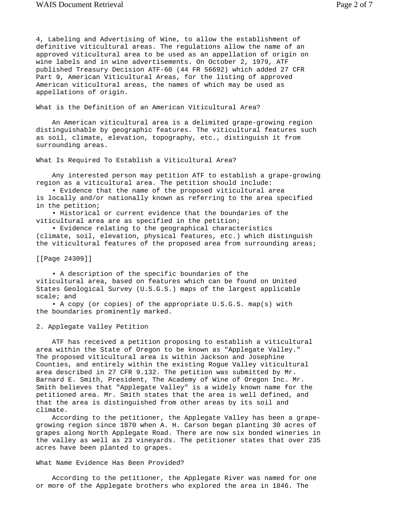4, Labeling and Advertising of Wine, to allow the establishment of definitive viticultural areas. The regulations allow the name of an approved viticultural area to be used as an appellation of origin on wine labels and in wine advertisements. On October 2, 1979, ATF published Treasury Decision ATF-60 (44 FR 56692) which added 27 CFR Part 9, American Viticultural Areas, for the listing of approved American viticultural areas, the names of which may be used as appellations of origin.

What is the Definition of an American Viticultural Area?

 An American viticultural area is a delimited grape-growing region distinguishable by geographic features. The viticultural features such as soil, climate, elevation, topography, etc., distinguish it from surrounding areas.

What Is Required To Establish a Viticultural Area?

 Any interested person may petition ATF to establish a grape-growing region as a viticultural area. The petition should include:

 • Evidence that the name of the proposed viticultural area is locally and/or nationally known as referring to the area specified in the petition;

 • Historical or current evidence that the boundaries of the viticultural area are as specified in the petition;

 • Evidence relating to the geographical characteristics (climate, soil, elevation, physical features, etc.) which distinguish the viticultural features of the proposed area from surrounding areas;

[[Page 24309]]

 • A description of the specific boundaries of the viticultural area, based on features which can be found on United States Geological Survey (U.S.G.S.) maps of the largest applicable scale; and

 • A copy (or copies) of the appropriate U.S.G.S. map(s) with the boundaries prominently marked.

2. Applegate Valley Petition

 ATF has received a petition proposing to establish a viticultural area within the State of Oregon to be known as "Applegate Valley." The proposed viticultural area is within Jackson and Josephine Counties, and entirely within the existing Rogue Valley viticultural area described in 27 CFR 9.132. The petition was submitted by Mr. Barnard E. Smith, President, The Academy of Wine of Oregon Inc. Mr. Smith believes that "Applegate Valley" is a widely known name for the petitioned area. Mr. Smith states that the area is well defined, and that the area is distinguished from other areas by its soil and climate.

 According to the petitioner, the Applegate Valley has been a grapegrowing region since 1870 when A. H. Carson began planting 30 acres of grapes along North Applegate Road. There are now six bonded wineries in the valley as well as 23 vineyards. The petitioner states that over 235 acres have been planted to grapes.

## What Name Evidence Has Been Provided?

 According to the petitioner, the Applegate River was named for one or more of the Applegate brothers who explored the area in 1846. The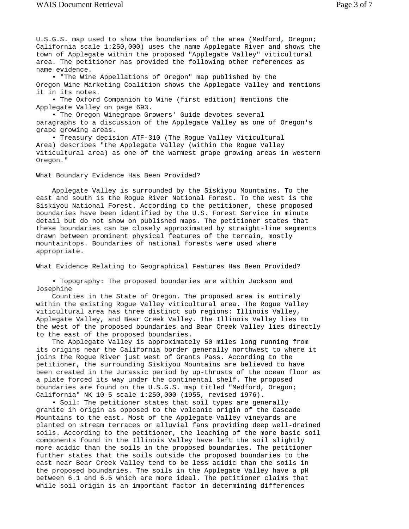U.S.G.S. map used to show the boundaries of the area (Medford, Oregon; California scale 1:250,000) uses the name Applegate River and shows the town of Applegate within the proposed "Applegate Valley" viticultural area. The petitioner has provided the following other references as name evidence.

 • "The Wine Appellations of Oregon" map published by the Oregon Wine Marketing Coalition shows the Applegate Valley and mentions it in its notes.

 • The Oxford Companion to Wine (first edition) mentions the Applegate Valley on page 693.

 • The Oregon Winegrape Growers' Guide devotes several paragraphs to a discussion of the Applegate Valley as one of Oregon's grape growing areas.

 • Treasury decision ATF-310 (The Rogue Valley Viticultural Area) describes "the Applegate Valley (within the Rogue Valley viticultural area) as one of the warmest grape growing areas in western Oregon."

What Boundary Evidence Has Been Provided?

 Applegate Valley is surrounded by the Siskiyou Mountains. To the east and south is the Rogue River National Forest. To the west is the Siskiyou National Forest. According to the petitioner, these proposed boundaries have been identified by the U.S. Forest Service in minute detail but do not show on published maps. The petitioner states that these boundaries can be closely approximated by straight-line segments drawn between prominent physical features of the terrain, mostly mountaintops. Boundaries of national forests were used where appropriate.

What Evidence Relating to Geographical Features Has Been Provided?

 • Topography: The proposed boundaries are within Jackson and Josephine

 Counties in the State of Oregon. The proposed area is entirely within the existing Rogue Valley viticultural area. The Rogue Valley viticultural area has three distinct sub regions: Illinois Valley, Applegate Valley, and Bear Creek Valley. The Illinois Valley lies to the west of the proposed boundaries and Bear Creek Valley lies directly to the east of the proposed boundaries.

 The Applegate Valley is approximately 50 miles long running from its origins near the California border generally northwest to where it joins the Rogue River just west of Grants Pass. According to the petitioner, the surrounding Siskiyou Mountains are believed to have been created in the Jurassic period by up-thrusts of the ocean floor as a plate forced its way under the continental shelf. The proposed boundaries are found on the U.S.G.S. map titled "Medford, Oregon; California" NK 10-5 scale 1:250,000 (1955, revised 1976).

 • Soil: The petitioner states that soil types are generally granite in origin as opposed to the volcanic origin of the Cascade Mountains to the east. Most of the Applegate Valley vineyards are planted on stream terraces or alluvial fans providing deep well-drained soils. According to the petitioner, the leaching of the more basic soil components found in the Illinois Valley have left the soil slightly more acidic than the soils in the proposed boundaries. The petitioner further states that the soils outside the proposed boundaries to the east near Bear Creek Valley tend to be less acidic than the soils in the proposed boundaries. The soils in the Applegate Valley have a pH between 6.1 and 6.5 which are more ideal. The petitioner claims that while soil origin is an important factor in determining differences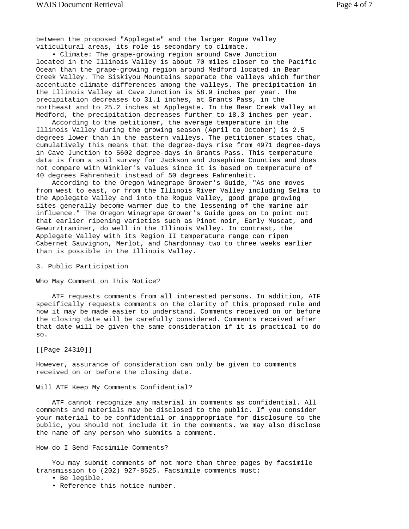between the proposed "Applegate" and the larger Rogue Valley viticultural areas, its role is secondary to climate.

 • Climate: The grape-growing region around Cave Junction located in the Illinois Valley is about 70 miles closer to the Pacific Ocean than the grape-growing region around Medford located in Bear Creek Valley. The Siskiyou Mountains separate the valleys which further accentuate climate differences among the valleys. The precipitation in the Illinois Valley at Cave Junction is 58.9 inches per year. The precipitation decreases to 31.1 inches, at Grants Pass, in the northeast and to 25.2 inches at Applegate. In the Bear Creek Valley at Medford, the precipitation decreases further to 18.3 inches per year.

 According to the petitioner, the average temperature in the Illinois Valley during the growing season (April to October) is 2.5 degrees lower than in the eastern valleys. The petitioner states that, cumulatively this means that the degree-days rise from 4971 degree-days in Cave Junction to 5602 degree-days in Grants Pass. This temperature data is from a soil survey for Jackson and Josephine Counties and does not compare with Winkler's values since it is based on temperature of 40 degrees Fahrenheit instead of 50 degrees Fahrenheit.

 According to the Oregon Winegrape Grower's Guide, "As one moves from west to east, or from the Illinois River Valley including Selma to the Applegate Valley and into the Rogue Valley, good grape growing sites generally become warmer due to the lessening of the marine air influence." The Oregon Winegrape Grower's Guide goes on to point out that earlier ripening varieties such as Pinot noir, Early Muscat, and Gewurztraminer, do well in the Illinois Valley. In contrast, the Applegate Valley with its Region II temperature range can ripen Cabernet Sauvignon, Merlot, and Chardonnay two to three weeks earlier than is possible in the Illinois Valley.

## 3. Public Participation

## Who May Comment on This Notice?

 ATF requests comments from all interested persons. In addition, ATF specifically requests comments on the clarity of this proposed rule and how it may be made easier to understand. Comments received on or before the closing date will be carefully considered. Comments received after that date will be given the same consideration if it is practical to do so.

[[Page 24310]]

However, assurance of consideration can only be given to comments received on or before the closing date.

Will ATF Keep My Comments Confidential?

 ATF cannot recognize any material in comments as confidential. All comments and materials may be disclosed to the public. If you consider your material to be confidential or inappropriate for disclosure to the public, you should not include it in the comments. We may also disclose the name of any person who submits a comment.

How do I Send Facsimile Comments?

 You may submit comments of not more than three pages by facsimile transmission to (202) 927-8525. Facsimile comments must:

- Be legible.
- Reference this notice number.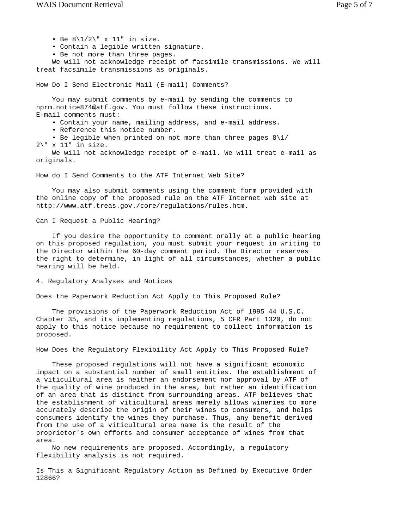• Be  $8\1/2\$  x 11" in size.

- Contain a legible written signature.
- Be not more than three pages.

 We will not acknowledge receipt of facsimile transmissions. We will treat facsimile transmissions as originals.

How Do I Send Electronic Mail (E-mail) Comments?

 You may submit comments by e-mail by sending the comments to nprm.notice874@atf.gov. You must follow these instructions. E-mail comments must:

- Contain your name, mailing address, and e-mail address.
- Reference this notice number.

 • Be legible when printed on not more than three pages 8\1/  $2\$ " x 11" in size.

 We will not acknowledge receipt of e-mail. We will treat e-mail as originals.

How do I Send Comments to the ATF Internet Web Site?

 You may also submit comments using the comment form provided with the online copy of the proposed rule on the ATF Internet web site at http://www.atf.treas.gov./core/regulations/rules.htm.

Can I Request a Public Hearing?

 If you desire the opportunity to comment orally at a public hearing on this proposed regulation, you must submit your request in writing to the Director within the 60-day comment period. The Director reserves the right to determine, in light of all circumstances, whether a public hearing will be held.

## 4. Regulatory Analyses and Notices

Does the Paperwork Reduction Act Apply to This Proposed Rule?

 The provisions of the Paperwork Reduction Act of 1995 44 U.S.C. Chapter 35, and its implementing regulations, 5 CFR Part 1320, do not apply to this notice because no requirement to collect information is proposed.

How Does the Regulatory Flexibility Act Apply to This Proposed Rule?

 These proposed regulations will not have a significant economic impact on a substantial number of small entities. The establishment of a viticultural area is neither an endorsement nor approval by ATF of the quality of wine produced in the area, but rather an identification of an area that is distinct from surrounding areas. ATF believes that the establishment of viticultural areas merely allows wineries to more accurately describe the origin of their wines to consumers, and helps consumers identify the wines they purchase. Thus, any benefit derived from the use of a viticultural area name is the result of the proprietor's own efforts and consumer acceptance of wines from that area.

 No new requirements are proposed. Accordingly, a regulatory flexibility analysis is not required.

Is This a Significant Regulatory Action as Defined by Executive Order 12866?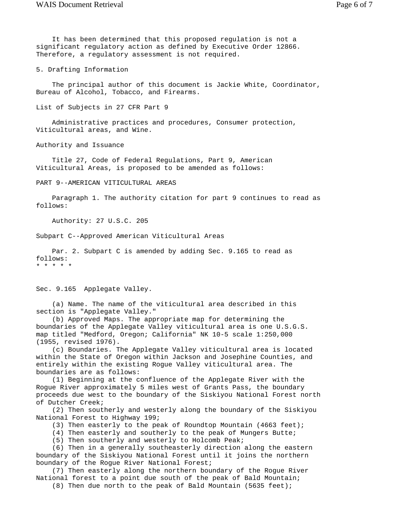It has been determined that this proposed regulation is not a significant regulatory action as defined by Executive Order 12866. Therefore, a regulatory assessment is not required.

5. Drafting Information

 The principal author of this document is Jackie White, Coordinator, Bureau of Alcohol, Tobacco, and Firearms.

List of Subjects in 27 CFR Part 9

 Administrative practices and procedures, Consumer protection, Viticultural areas, and Wine.

Authority and Issuance

 Title 27, Code of Federal Regulations, Part 9, American Viticultural Areas, is proposed to be amended as follows:

PART 9--AMERICAN VITICULTURAL AREAS

 Paragraph 1. The authority citation for part 9 continues to read as follows:

Authority: 27 U.S.C. 205

Subpart C--Approved American Viticultural Areas

 Par. 2. Subpart C is amended by adding Sec. 9.165 to read as follows: \* \* \* \* \*

Sec. 9.165 Applegate Valley.

 (a) Name. The name of the viticultural area described in this section is "Applegate Valley."

 (b) Approved Maps. The appropriate map for determining the boundaries of the Applegate Valley viticultural area is one U.S.G.S. map titled "Medford, Oregon; California" NK 10-5 scale 1:250,000 (1955, revised 1976).

 (c) Boundaries. The Applegate Valley viticultural area is located within the State of Oregon within Jackson and Josephine Counties, and entirely within the existing Rogue Valley viticultural area. The boundaries are as follows:

 (1) Beginning at the confluence of the Applegate River with the Rogue River approximately 5 miles west of Grants Pass, the boundary proceeds due west to the boundary of the Siskiyou National Forest north of Dutcher Creek;

 (2) Then southerly and westerly along the boundary of the Siskiyou National Forest to Highway 199;

(3) Then easterly to the peak of Roundtop Mountain (4663 feet);

(4) Then easterly and southerly to the peak of Mungers Butte;

(5) Then southerly and westerly to Holcomb Peak;

 (6) Then in a generally southeasterly direction along the eastern boundary of the Siskiyou National Forest until it joins the northern boundary of the Rogue River National Forest;

 (7) Then easterly along the northern boundary of the Rogue River National forest to a point due south of the peak of Bald Mountain;

(8) Then due north to the peak of Bald Mountain (5635 feet);